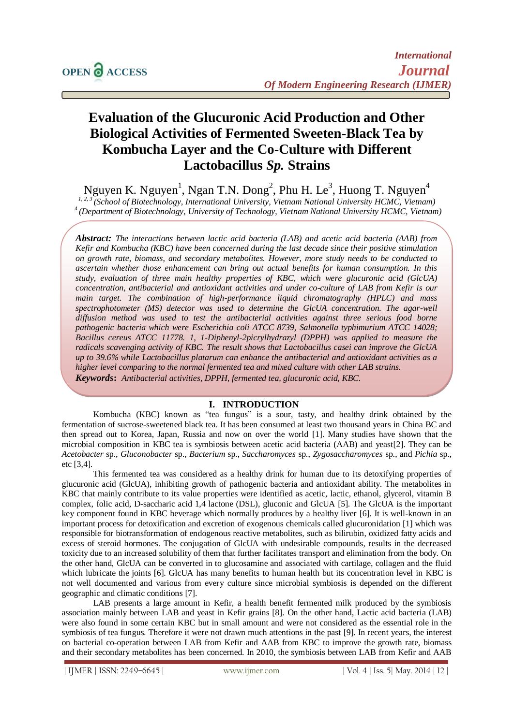# **Evaluation of the Glucuronic Acid Production and Other Biological Activities of Fermented Sweeten-Black Tea by Kombucha Layer and the Co-Culture with Different Lactobacillus** *Sp.* **Strains**

Nguyen K. Nguyen<sup>1</sup>, Ngan T.N. Dong<sup>2</sup>, Phu H. Le<sup>3</sup>, Huong T. Nguyen<sup>4</sup> *1, 2, 3 (School of Biotechnology, International University, Vietnam National University HCMC, Vietnam) <sup>4</sup>(Department of Biotechnology, University of Technology, Vietnam National University HCMC, Vietnam)*

*Abstract: The interactions between lactic acid bacteria (LAB) and acetic acid bacteria (AAB) from Kefir and Kombucha (KBC) have been concerned during the last decade since their positive stimulation on growth rate, biomass, and secondary metabolites. However, more study needs to be conducted to ascertain whether those enhancement can bring out actual benefits for human consumption. In this study, evaluation of three main healthy properties of KBC, which were glucuronic acid (GlcUA) concentration, antibacterial and antioxidant activities and under co-culture of LAB from Kefir is our main target. The combination of high-performance liquid chromatography (HPLC) and mass*  spectrophotometer (MS) detector was used to determine the GlcUA concentration. The agar-well *diffusion method was used to test the antibacterial activities against three serious food borne pathogenic bacteria which were Escherichia coli ATCC 8739, Salmonella typhimurium ATCC 14028;*  Bacillus cereus ATCC 11778. 1, 1-Diphenyl-2picrylhydrazyl (DPPH) was applied to measure the *radicals scavenging activity of KBC. The result shows that Lactobacillus casei can improve the GlcUA up to 39.6% while Lactobacillus platarum can enhance the antibacterial and antioxidant activities as a higher level comparing to the normal fermented tea and mixed culture with other LAB strains. Keywords***:** *Antibacterial activities, DPPH, fermented tea, glucuronic acid, KBC.*

# **I. INTRODUCTION**

Kombucha (KBC) known as "tea fungus" is a sour, tasty, and healthy drink obtained by the fermentation of sucrose-sweetened black tea. It has been consumed at least two thousand years in China BC and then spread out to Korea, Japan, Russia and now on over the world [1]. Many studies have shown that the microbial composition in KBC tea is symbiosis between acetic acid bacteria (AAB) and yeast[2]. They can be *Acetobacter* sp., *Gluconobacter* sp., *Bacterium* sp., *Saccharomyces* sp., *Zygosaccharomyces* sp., and *Pichia* sp., etc [3,4].

This fermented tea was considered as a healthy drink for human due to its detoxifying properties of glucuronic acid (GlcUA), inhibiting growth of pathogenic bacteria and antioxidant ability. The metabolites in KBC that mainly contribute to its value properties were identified as acetic, lactic, ethanol, glycerol, vitamin B complex, folic acid, D-saccharic acid 1,4 lactone (DSL), gluconic and GlcUA [5]. The GlcUA is the important key component found in KBC beverage which normally produces by a healthy liver [6]. It is well-known in an important process for detoxification and excretion of exogenous chemicals called glucuronidation [1] which was responsible for biotransformation of endogenous reactive metabolites, such as bilirubin, oxidized fatty acids and excess of steroid hormones. The conjugation of GlcUA with undesirable compounds, results in the decreased toxicity due to an increased solubility of them that further facilitates transport and elimination from the body. On the other hand, GlcUA can be converted in to glucosamine and associated with cartilage, collagen and the fluid which lubricate the joints [6]. GlcUA has many benefits to human health but its concentration level in KBC is not well documented and various from every culture since microbial symbiosis is depended on the different geographic and climatic conditions [7].

LAB presents a large amount in Kefir, a health benefit fermented milk produced by the symbiosis association mainly between LAB and yeast in Kefir grains [8]. On the other hand, Lactic acid bacteria (LAB) were also found in some certain KBC but in small amount and were not considered as the essential role in the symbiosis of tea fungus. Therefore it were not drawn much attentions in the past [9]. In recent years, the interest on bacterial co-operation between LAB from Kefir and AAB from KBC to improve the growth rate, biomass and their secondary metabolites has been concerned. In 2010, the symbiosis between LAB from Kefir and AAB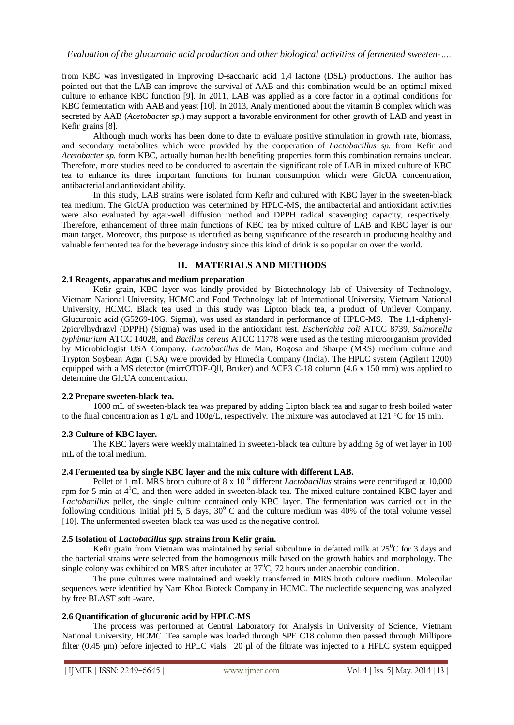from KBC was investigated in improving D-saccharic acid 1,4 lactone (DSL) productions. The author has pointed out that the LAB can improve the survival of AAB and this combination would be an optimal mixed culture to enhance KBC function [9]. In 2011, LAB was applied as a core factor in a optimal conditions for KBC fermentation with AAB and yeast [10]. In 2013, Analy mentioned about the vitamin B complex which was secreted by AAB (*Acetobacter sp.*) may support a favorable environment for other growth of LAB and yeast in Kefir grains [8].

Although much works has been done to date to evaluate positive stimulation in growth rate, biomass, and secondary metabolites which were provided by the cooperation of *Lactobacillus sp.* from Kefir and *Acetobacter sp.* form KBC, actually human health benefiting properties form this combination remains unclear. Therefore, more studies need to be conducted to ascertain the significant role of LAB in mixed culture of KBC tea to enhance its three important functions for human consumption which were GlcUA concentration, antibacterial and antioxidant ability.

In this study, LAB strains were isolated form Kefir and cultured with KBC layer in the sweeten-black tea medium. The GlcUA production was determined by HPLC-MS, the antibacterial and antioxidant activities were also evaluated by agar-well diffusion method and DPPH radical scavenging capacity, respectively. Therefore, enhancement of three main functions of KBC tea by mixed culture of LAB and KBC layer is our main target. Moreover, this purpose is identified as being significance of the research in producing healthy and valuable fermented tea for the beverage industry since this kind of drink is so popular on over the world.

# **II. MATERIALS AND METHODS**

#### **2.1 Reagents, apparatus and medium preparation**

Kefir grain, KBC layer was kindly provided by Biotechnology lab of University of Technology, Vietnam National University, HCMC and Food Technology lab of International University, Vietnam National University, HCMC. Black tea used in this study was Lipton black tea, a product of Unilever Company. Glucuronic acid (G5269-10G, Sigma), was used as standard in performance of HPLC-MS. The 1,1-diphenyl-2picrylhydrazyl (DPPH) (Sigma) was used in the antioxidant test. *Escherichia coli* ATCC 8739, *Salmonella typhimurium* ATCC 14028, and *Bacillus cereus* ATCC 11778 were used as the testing microorganism provided by Microbiologist USA Company. *Lactobacillus* de Man, Rogosa and Sharpe (MRS) medium culture and Trypton Soybean Agar (TSA) were provided by Himedia Company (India). The HPLC system (Agilent 1200) equipped with a MS detector (micrOTOF-Qll, Bruker) and ACE3 C-18 column (4.6 x 150 mm) was applied to determine the GlcUA concentration.

# **2.2 Prepare sweeten-black tea.**

1000 mL of sweeten-black tea was prepared by adding Lipton black tea and sugar to fresh boiled water to the final concentration as 1 g/L and 100g/L, respectively. The mixture was autoclaved at 121 °C for 15 min.

# **2.3 Culture of KBC layer.**

The KBC layers were weekly maintained in sweeten-black tea culture by adding 5g of wet layer in 100 mL of the total medium.

# **2.4 Fermented tea by single KBC layer and the mix culture with different LAB.**

Pellet of 1 mL MRS broth culture of 8 x 10<sup>8</sup> different *Lactobacillus* strains were centrifuged at 10,000 rpm for 5 min at  $4^{\circ}$ C, and then were added in sweeten-black tea. The mixed culture contained KBC layer and *Lactobacillus* pellet, the single culture contained only KBC layer. The fermentation was carried out in the following conditions: initial pH 5, 5 days,  $30^{\circ}$  C and the culture medium was 40% of the total volume vessel [10]. The unfermented sweeten-black tea was used as the negative control.

#### **2.5 Isolation of** *Lactobacillus spp.* **strains from Kefir grain.**

Kefir grain from Vietnam was maintained by serial subculture in defatted milk at  $25^{\circ}$ C for 3 days and the bacterial strains were selected from the homogenous milk based on the growth habits and morphology. The single colony was exhibited on MRS after incubated at  $37^{\circ}$ C, 72 hours under anaerobic condition.

The pure cultures were maintained and weekly transferred in MRS broth culture medium. Molecular sequences were identified by Nam Khoa Bioteck Company in HCMC. The nucleotide sequencing was analyzed by free BLAST soft -ware.

# **2.6 Quantification of glucuronic acid by HPLC-MS**

The process was performed at Central Laboratory for Analysis in University of Science, Vietnam National University, HCMC. Tea sample was loaded through SPE C18 column then passed through Millipore filter (0.45 µm) before injected to HPLC vials. 20 µl of the filtrate was injected to a HPLC system equipped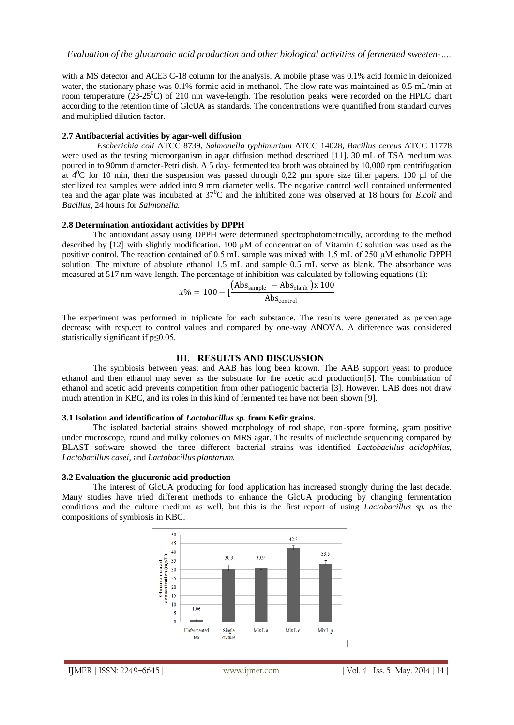with a MS detector and ACE3 C-18 column for the analysis. A mobile phase was 0.1% acid formic in deionized water, the stationary phase was 0.1% formic acid in methanol. The flow rate was maintained as 0.5 mL/min at room temperature ( $23-25^{\circ}$ C) of 210 nm wave-length. The resolution peaks were recorded on the HPLC chart according to the retention time of GlcUA as standards. The concentrations were quantified from standard curves and multiplied dilution factor.

#### **2.7 Antibacterial activities by agar-well diffusion**

*Escherichia coli* ATCC 8739, *Salmonella typhimurium* ATCC 14028, *Bacillus cereus* ATCC 11778 were used as the testing microorganism in agar diffusion method described [11]. 30 mL of TSA medium was poured in to 90mm diameter-Petri dish. A 5 day- fermented tea broth was obtained by 10,000 rpm centrifugation at  $4^{\circ}$ C for 10 min, then the suspension was passed through 0,22 µm spore size filter papers. 100 µl of the sterilized tea samples were added into 9 mm diameter wells. The negative control well contained unfermented tea and the agar plate was incubated at 37<sup>0</sup>C and the inhibited zone was observed at 18 hours for *E.coli* and *Bacillus*, 24 hours for *Salmonella.*

# **2.8 Determination antioxidant activities by DPPH**

The antioxidant assay using DPPH were determined spectrophotometrically, according to the method described by [12] with slightly modification. 100 μM of concentration of Vitamin C solution was used as the positive control. The reaction contained of 0.5 mL sample was mixed with 1.5 mL of 250 μM ethanolic DPPH solution. The mixture of absolute ethanol 1.5 mL and sample 0.5 mL serve as blank. The absorbance was measured at 517 nm wave-length. The percentage of inhibition was calculated by following equations (1):

$$
x\% = 100 - \left[\frac{\left(\text{Abs}_{\text{sample}} - \text{Abs}_{\text{blank}}\right)x\,100}{\text{Abs}_{\text{control}}}\right]
$$

The experiment was performed in triplicate for each substance. The results were generated as percentage decrease with resp.ect to control values and compared by one-way ANOVA. A difference was considered statistically significant if p≤0.05.

# **III. RESULTS AND DISCUSSION**

The symbiosis between yeast and AAB has long been known. The AAB support yeast to produce ethanol and then ethanol may sever as the substrate for the acetic acid production[5]. The combination of ethanol and acetic acid prevents competition from other pathogenic bacteria [3]. However, LAB does not draw much attention in KBC, and its roles in this kind of fermented tea have not been shown [9].

#### **3.1 Isolation and identification of** *Lactobacillus sp.* **from Kefir grains.**

The isolated bacterial strains showed morphology of rod shape, non-spore forming, gram positive under microscope, round and milky colonies on MRS agar. The results of nucleotide sequencing compared by BLAST software showed the three different bacterial strains was identified *Lactobacillus acidophilus*, *Lactobacillus casei*, and *Lactobacillus plantarum.* 

#### **3.2 Evaluation the glucuronic acid production**

The interest of GlcUA producing for food application has increased strongly during the last decade. Many studies have tried different methods to enhance the GlcUA producing by changing fermentation conditions and the culture medium as well, but this is the first report of using *Lactobacillus sp.* as the compositions of symbiosis in KBC.

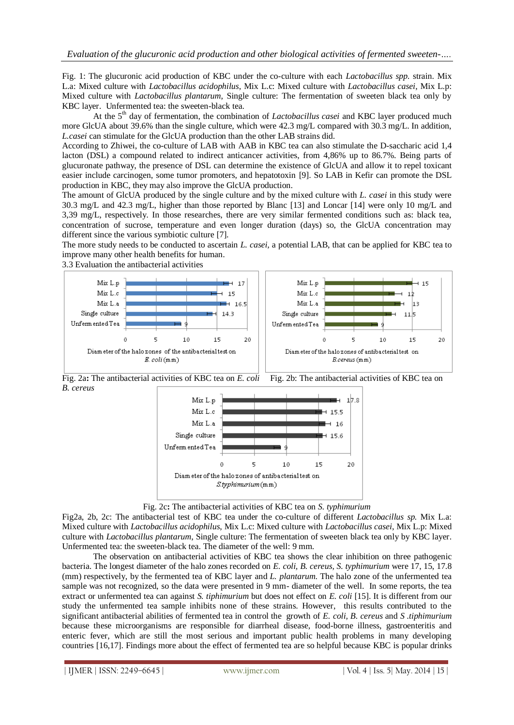Fig. 1: The glucuronic acid production of KBC under the co-culture with each *Lactobacillus spp.* strain. Mix L.a: Mixed culture with *Lactobacillus acidophilus*, Mix L.c: Mixed culture with *Lactobacillus casei*, Mix L.p: Mixed culture with *Lactobacillus plantarum*, Single culture: The fermentation of sweeten black tea only by KBC layer.Unfermented tea: the sweeten-black tea.

At the 5<sup>th</sup> day of fermentation, the combination of *Lactobacillus casei* and KBC layer produced much more GlcUA about 39.6% than the single culture, which were 42.3 mg/L compared with 30.3 mg/L. In addition, *L.casei* can stimulate for the GlcUA production than the other LAB strains did.

According to Zhiwei, the co-culture of LAB with AAB in KBC tea can also stimulate the D-saccharic acid 1,4 lacton (DSL) a compound related to indirect anticancer activities, from 4,86% up to 86.7%. Being parts of glucuronate pathway, the presence of DSL can determine the existence of GlcUA and allow it to repel toxicant easier include carcinogen, some tumor promoters, and hepatotoxin [9]. So LAB in Kefir can promote the DSL production in KBC, they may also improve the GlcUA production.

The amount of GlcUA produced by the single culture and by the mixed culture with *L. casei* in this study were 30.3 mg/L and 42.3 mg/L, higher than those reported by Blanc [13] and Loncar [14] were only 10 mg/L and 3,39 mg/L, respectively. In those researches, there are very similar fermented conditions such as: black tea, concentration of sucrose, temperature and even longer duration (days) so, the GlcUA concentration may different since the various symbiotic culture [7].

The more study needs to be conducted to ascertain *L. casei,* a potential LAB, that can be applied for KBC tea to improve many other health benefits for human.

3.3 Evaluation the antibacterial activities



Fig. 2a: The antibacterial activities of KBC tea on *E. coli* Fig. 2b: The antibacterial activities of KBC tea on *B. cereus*



Fig. 2c**:** The antibacterial activities of KBC tea on *S. typhimurium*

Fig2a, 2b, 2c: The antibacterial test of KBC tea under the co-culture of different *Lactobacillus sp.* Mix L.a: Mixed culture with *Lactobacillus acidophilus*, Mix L.c: Mixed culture with *Lactobacillus casei*, Mix L.p: Mixed culture with *Lactobacillus plantarum*, Single culture: The fermentation of sweeten black tea only by KBC layer. Unfermented tea: the sweeten-black tea. The diameter of the well: 9 mm.

The observation on antibacterial activities of KBC tea shows the clear inhibition on three pathogenic bacteria. The longest diameter of the halo zones recorded on *E. coli, B. cereus, S. typhimurium* were 17, 15, 17.8 (mm) respectively, by the fermented tea of KBC layer and *L. plantarum*. The halo zone of the unfermented tea sample was not recognized, so the data were presented in 9 mm- diameter of the well. In some reports, the tea extract or unfermented tea can against *S. tiphimurium* but does not effect on *E. coli* [15]. It is different from our study the unfermented tea sample inhibits none of these strains. However, this results contributed to the significant antibacterial abilities of fermented tea in control the growth of *E. coli, B. cereus* and *S .tiphimurium*  because these microorganisms are responsible for diarrheal disease, food-borne illness, gastroenteritis and enteric fever, which are still the most serious and important public health problems in many developing countries [16,17]. Findings more about the effect of fermented tea are so helpful because KBC is popular drinks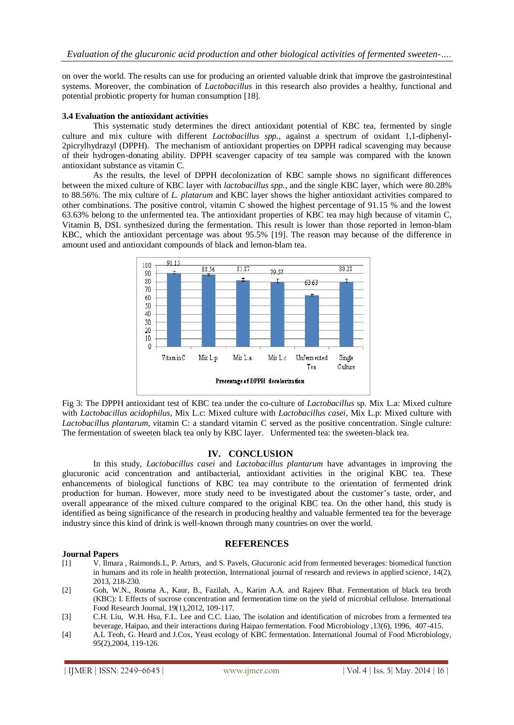on over the world. The results can use for producing an oriented valuable drink that improve the gastrointestinal systems. Moreover, the combination of *Lactobacillus* in this research also provides a healthy, functional and potential probiotic property for human consumption [18].

#### **3.4 Evaluation the antioxidant activities**

This systematic study determines the direct antioxidant potential of KBC tea, fermented by single culture and mix culture with different *Lactobacillus spp.*, against a spectrum of oxidant 1,1-diphenyl-2picrylhydrazyl (DPPH). The mechanism of antioxidant properties on DPPH radical scavenging may because of their hydrogen-donating ability. DPPH scavenger capacity of tea sample was compared with the known antioxidant substance as vitamin C.

As the results, the level of DPPH decolonization of KBC sample shows no significant differences between the mixed culture of KBC layer with *lactobacillus spp.*, and the single KBC layer, which were 80.28% to 88.56%. The mix culture of *L. platarum* and KBC layer shows the higher antioxidant activities compared to other combinations. The positive control, vitamin C showed the highest percentage of 91.15 % and the lowest 63.63% belong to the unfermented tea. The antioxidant properties of KBC tea may high because of vitamin C, Vitamin B, DSL synthesized during the fermentation. This result is lower than those reported in lemon-blam KBC, which the antioxidant percentage was about 95.5% [19]. The reason may because of the difference in amount used and antioxidant compounds of black and lemon-blam tea.



Fig 3: The DPPH antioxidant test of KBC tea under the co-culture of *Lactobacillus* sp. Mix L.a: Mixed culture with *Lactobacillus acidophilus*, Mix L.c: Mixed culture with *Lactobacillus casei*, Mix L.p: Mixed culture with *Lactobacillus plantarum, v*itamin C: a standard vitamin C served as the positive concentration. Single culture: The fermentation of sweeten black tea only by KBC layer.Unfermented tea: the sweeten-black tea.

# **IV. CONCLUSION**

In this study, *Lactobacillus casei* and *Lactobacillus plantarum* have advantages in improving the glucuronic acid concentration and antibacterial, antioxidant activities in the original KBC tea. These enhancements of biological functions of KBC tea may contribute to the orientation of fermented drink production for human. However, more study need to be investigated about the customer's taste, order, and overall appearance of the mixed culture compared to the original KBC tea. On the other hand, this study is identified as being significance of the research in producing healthy and valuable fermented tea for the beverage industry since this kind of drink is well-known through many countries on over the world.

#### **REFERENCES**

#### **Journal Papers**

- [1] V. Ilmara , Raimonds.L, P. Arturs, and S. Pavels, Glucuronic acid from fermented beverages: biomedical function in humans and its role in health protection, International journal of research and reviews in applied science, 14(2), 2013, 218-230.
- [2] Goh, W.N., Rosma A., Kaur, B., Fazilah, A., Karim A.A. and Rajeev Bhat. Fermentation of black tea broth (KBC): I. Effects of sucrose concentration and fermentation time on the yield of microbial cellulose. International Food Research Journal, 19(1),2012, 109-117.
- [3] C.H. Liu, W.H. Hsu, F.L. Lee and C.C. Liao, The isolation and identification of microbes from a fermented tea beverage, Haipao, and their interactions during Haipao fermentation. Food Microbiology ,13(6), 1996, 407-415.
- [4] A.L Teoh, G. Heard and J.Cox, Yeast ecology of KBC fermentation. International Journal of Food Microbiology, 95(2),2004, 119-126.